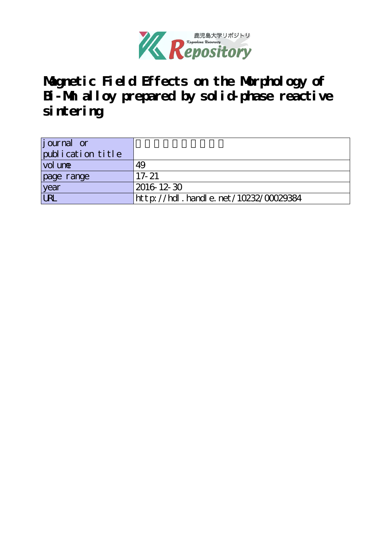

**Magnetic Field Effects on the Morphology of Bi-Mn alloy prepared by solid-phase reactive sintering**

| <i>j</i> ournal or<br>publication title |                                      |
|-----------------------------------------|--------------------------------------|
| vol une                                 | 49                                   |
| page range                              | $17 - 21$                            |
| year                                    | 2016 12 30                           |
| <b>URL</b>                              | http://hdl.handle.net/10232/00029384 |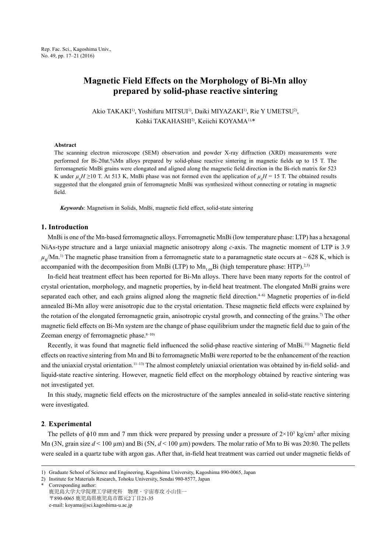# **Magnetic Field Effects on the Morphology of Bi-Mn alloy prepared by solid-phase reactive sintering**

Akio TAKAKI<sup>1)</sup>, Yoshifuru MITSUI<sup>1)</sup>, Daiki MIYAZAKI<sup>1)</sup>, Rie Y UMETSU<sup>2)</sup>, Kohki TAKAHASHI2), Keiichi KOYAMA1),\*

#### **Abstract**

The scanning electron microscope (SEM) observation and powder X-ray diffraction (XRD) measurements were performed for Bi-20at.%Mn alloys prepared by solid-phase reactive sintering in magnetic fields up to 15 T. The ferromagnetic MnBi grains were elongated and aligned along the magnetic field direction in the Bi-rich matrix for 523 K under  $\mu_0 H \ge 10$  T. At 513 K, MnBi phase was not formed even the application of  $\mu_0 H = 15$  T. The obtained results suggested that the elongated grain of ferromagnetic MnBi was synthesized without connecting or rotating in magnetic field.

*Keywords*: Magnetism in Solids, MnBi, magnetic field effect, solid-state sintering

## **1. Introduction**

MnBi is one of the Mn-based ferromagnetic alloys. Ferromagnetic MnBi (low temperature phase: LTP) has a hexagonal NiAs-type structure and a large uniaxial magnetic anisotropy along *c*-axis. The magnetic moment of LTP is 3.9  $\mu_p/Mn^{1}$ .<sup>1</sup> The magnetic phase transition from a ferromagnetic state to a paramagnetic state occurs at  $\sim$  628 K, which is accompanied with the decomposition from MnBi (LTP) to  $Mn_{1.08}Bi$  (high temperature phase: HTP).<sup>2,3)</sup>

In-field heat treatment effect has been reported for Bi-Mn alloys. There have been many reports for the control of crystal orientation, morphology, and magnetic properties, by in-field heat treatment. The elongated MnBi grains were separated each other, and each grains aligned along the magnetic field direction.<sup>4–6)</sup> Magnetic properties of in-field annealed Bi-Mn alloy were anisotropic due to the crystal orientation. These magnetic field effects were explained by the rotation of the elongated ferromagnetic grain, anisotropic crystal growth, and connecting of the grains.<sup>7)</sup> The other magnetic field effects on Bi-Mn system are the change of phase equilibrium under the magnetic field due to gain of the Zeeman energy of ferromagnetic phase. $8-10$ )

Recently, it was found that magnetic field influenced the solid-phase reactive sintering of MnBi.11) Magnetic field effects on reactive sintering from Mn and Bi to ferromagnetic MnBi were reported to be the enhancement of the reaction and the uniaxial crystal orientation.<sup>11–13</sup>) The almost completely uniaxial orientation was obtained by in-field solid- and liquid-state reactive sintering. However, magnetic field effect on the morphology obtained by reactive sintering was not investigated yet.

In this study, magnetic field effects on the microstructure of the samples annealed in solid-state reactive sintering were investigated.

### **2**. **Experimental**

The pellets of  $\phi$ 10 mm and 7 mm thick were prepared by pressing under a pressure of  $2\times10^3$  kg/cm<sup>2</sup> after mixing Mn (3N, grain size *d* < 100 µm) and Bi (5N, *d* < 100 µm) powders. The molar ratio of Mn to Bi was 20:80. The pellets were sealed in a quartz tube with argon gas. After that, in-field heat treatment was carried out under magnetic fields of

2) Institute for Materials Research, Tohoku University, Sendai 980-8577, Japan

<sup>1)</sup> Graduate School of Science and Engineering, Kagoshima University, Kagoshima 890-0065, Japan

Corresponding author: 鹿児島大学大学院理工学研究科 物理・宇宙専攻 小山佳一 〒890-0065 鹿児島県鹿児島市郡元2丁目21-35 e-mail: koyama@sci.kagoshima-u.ac.jp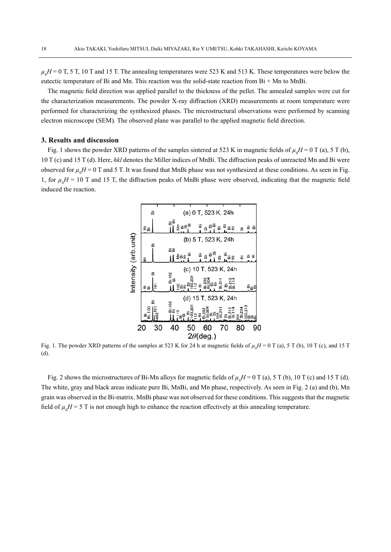$\mu_0 H$  = 0 T, 5 T, 10 T and 15 T. The annealing temperatures were 523 K and 513 K. These temperatures were below the eutectic temperature of Bi and Mn. This reaction was the solid-state reaction from Bi + Mn to MnBi.

The magnetic field direction was applied parallel to the thickness of the pellet. The annealed samples were cut for the characterization measurements. The powder X-ray diffraction (XRD) measurements at room temperature were performed for characterizing the synthesized phases. The microstructural observations were performed by scanning electron microscope (SEM). The observed plane was parallel to the applied magnetic field direction.

## **3. Results and discussion**

Fig. 1 shows the powder XRD patterns of the samples sintered at 523 K in magnetic fields of  $\mu_0 H = 0$  T (a), 5 T (b), 10 T (c) and 15 T (d). Here, *hkl* denotes the Miller indices of MnBi. The diffraction peaks of unreacted Mn and Bi were observed for  $\mu_0 H = 0$  T and 5 T. It was found that MnBi phase was not synthesized at these conditions. As seen in Fig. 1, for  $\mu_0 H = 10$  T and 15 T, the diffraction peaks of MnBi phase were observed, indicating that the magnetic field induced the reaction.



Fig. 1. The powder XRD patterns of the samples at 523 K for 24 h at magnetic fields of  $\mu_0 H = 0$  T (a), 5 T (b), 10 T (c), and 15 T (d).

Fig. 2 shows the microstructures of Bi-Mn alloys for magnetic fields of  $\mu_0 H = 0$  T (a), 5 T (b), 10 T (c) and 15 T (d). The white, gray and black areas indicate pure Bi, MnBi, and Mn phase, respectively. As seen in Fig. 2 (a) and (b), Mn grain was observed in the Bi-matrix. MnBi phase was not observed for these conditions. This suggests that the magnetic field of  $\mu_0 H = 5$  T is not enough high to enhance the reaction effectively at this annealing temperature.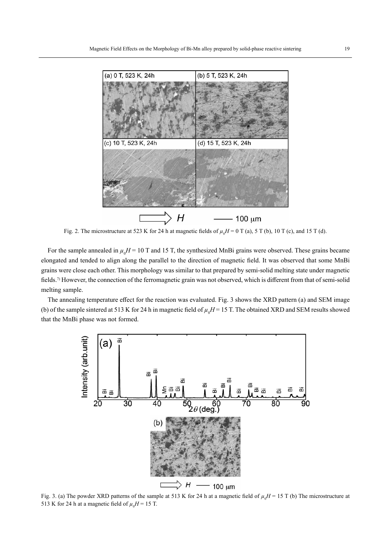

Fig. 2. The microstructure at 523 K for 24 h at magnetic fields of  $\mu_0 H = 0$  T (a), 5 T (b), 10 T (c), and 15 T (d).

For the sample annealed in  $\mu_0 H = 10$  T and 15 T, the synthesized MnBi grains were observed. These grains became elongated and tended to align along the parallel to the direction of magnetic field. It was observed that some MnBi grains were close each other. This morphology was similar to that prepared by semi-solid melting state under magnetic fields.7) However, the connection of the ferromagnetic grain was not observed, which is different from that of semi-solid melting sample.

The annealing temperature effect for the reaction was evaluated. Fig. 3 shows the XRD pattern (a) and SEM image (b) of the sample sintered at 513 K for 24 h in magnetic field of  $\mu_0 H$  = 15 T. The obtained XRD and SEM results showed that the MnBi phase was not formed.



Fig. 3. (a) The powder XRD patterns of the sample at 513 K for 24 h at a magnetic field of  $\mu_0 H = 15$  T (b) The microstructure at 513 K for 24 h at a magnetic field of  $\mu_0 H = 15$  T.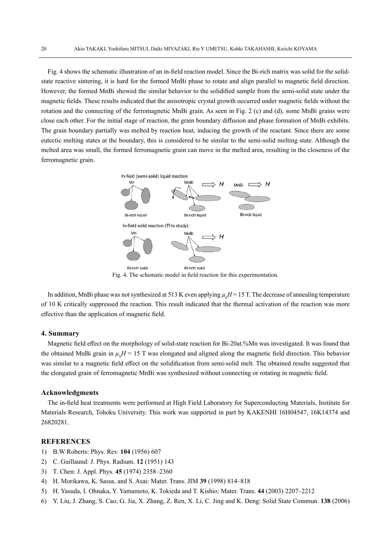Fig. 4 shows the schematic illustration of an in-field reaction model. Since the Bi-rich matrix was solid for the solidstate reactive sintering, it is hard for the formed MnBi phase to rotate and align parallel to magnetic field direction. However, the formed MnBi showed the similar behavior to the solidified sample from the semi-solid state under the magnetic fields. These results indicated that the anisotropic crystal growth occurred under magnetic fields without the rotation and the connecting of the ferromagnetic MnBi grain. As seen in Fig. 2 (c) and (d), some MnBi grains were close each other. For the initial stage of reaction, the grain boundary diffusion and phase formation of MnBi exhibits. The grain boundary partially was melted by reaction heat, inducing the growth of the reactant. Since there are some eutectic melting states at the boundary, this is considered to be similar to the semi-solid melting state. Although the melted area was small, the formed ferromagnetic grain can move in the melted area, resulting in the closeness of the ferromagnetic grain.



Fig. 4. The schematic model in field reaction for this experimentation.

In addition, MnBi phase was not synthesized at 513 K even applying  $\mu_{_0}H$  = 15 T. The decrease of annealing temperature of 10 K critically suppressed the reaction. This result indicated that the thermal activation of the reaction was more effective than the application of magnetic field.

#### **4. Summary**

Magnetic field effect on the morphology of solid-state reaction for Bi-20at.%Mn was investigated. It was found that the obtained MnBi grain in  $\mu_0 H = 15$  T was elongated and aligned along the magnetic field direction. This behavior was similar to a magnetic field effect on the solidification from semi-solid melt. The obtained results suggested that the elongated grain of ferromagnetic MnBi was synthesized without connecting or rotating in magnetic field.

#### **Acknowledgments**

The in-field heat treatments were performed at High Field Laboratory for Superconducting Materials, Institute for Materials Research, Tohoku University. This work was supported in part by KAKENHI 16H04547, 16K14374 and 26820281.

## **REFERENCES**

- 1) B.W Roberts: Phys. Rev. **104** (1956) 607
- 2) C. Guillaund: J. Phys. Radium. **12** (1951) 143
- 3) T. Chen: J. Appl. Phys. **45** (1974) 2358–2360
- 4) H. Morikawa, K. Sassa, and S. Asai: Mater. Trans. JIM **39** (1998) 814–818
- 5) H. Yasuda, I. Ohnaka, Y. Yamamoto, K. Tokieda and T. Kishio: Mater. Trans. **44** (2003) 2207–2212
- 6) Y. Liu, J. Zhang, S. Cao, G. Jia, X. Zhang, Z. Ren, X. Li, C. Jing and K. Deng: Solid State Commun. **138** (2006)